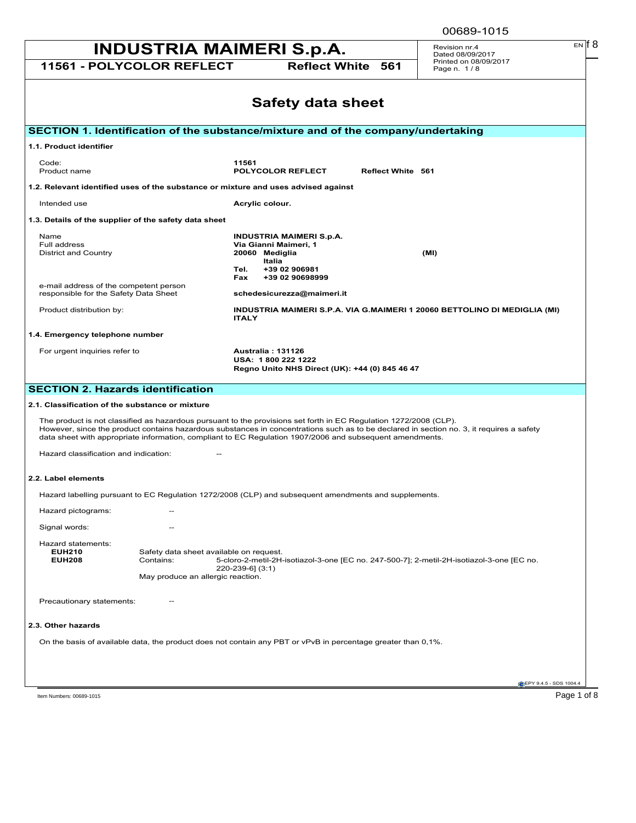| EN IT 8<br><b>INDUSTRIA MAIMERI S.p.A.</b><br>Revision nr.4<br>Dated 08/09/2017                                                                                                                                                                                                                                                                                           |                                                                                                  |                                                                                                                                      |                          |                                                                                           |                        |
|---------------------------------------------------------------------------------------------------------------------------------------------------------------------------------------------------------------------------------------------------------------------------------------------------------------------------------------------------------------------------|--------------------------------------------------------------------------------------------------|--------------------------------------------------------------------------------------------------------------------------------------|--------------------------|-------------------------------------------------------------------------------------------|------------------------|
| 11561 - POLYCOLOR REFLECT                                                                                                                                                                                                                                                                                                                                                 |                                                                                                  |                                                                                                                                      | <b>Reflect White 561</b> | Printed on 08/09/2017<br>Page n. 1/8                                                      |                        |
|                                                                                                                                                                                                                                                                                                                                                                           |                                                                                                  | <b>Safety data sheet</b>                                                                                                             |                          |                                                                                           |                        |
| SECTION 1. Identification of the substance/mixture and of the company/undertaking                                                                                                                                                                                                                                                                                         |                                                                                                  |                                                                                                                                      |                          |                                                                                           |                        |
| 1.1. Product identifier                                                                                                                                                                                                                                                                                                                                                   |                                                                                                  |                                                                                                                                      |                          |                                                                                           |                        |
| Code:<br>Product name                                                                                                                                                                                                                                                                                                                                                     | 11561                                                                                            | POLYCOLOR REFLECT                                                                                                                    | <b>Reflect White 561</b> |                                                                                           |                        |
| 1.2. Relevant identified uses of the substance or mixture and uses advised against                                                                                                                                                                                                                                                                                        |                                                                                                  |                                                                                                                                      |                          |                                                                                           |                        |
| Intended use                                                                                                                                                                                                                                                                                                                                                              | Acrylic colour.                                                                                  |                                                                                                                                      |                          |                                                                                           |                        |
| 1.3. Details of the supplier of the safety data sheet                                                                                                                                                                                                                                                                                                                     |                                                                                                  |                                                                                                                                      |                          |                                                                                           |                        |
| Name<br>Full address<br>District and Country<br>e-mail address of the competent person<br>responsible for the Safety Data Sheet                                                                                                                                                                                                                                           | 20060 Mediglia<br>Tel.<br>Fax                                                                    | <b>INDUSTRIA MAIMERI S.p.A.</b><br>Via Gianni Maimeri, 1<br>Italia<br>+39 02 906981<br>+39 02 90698999<br>schedesicurezza@maimeri.it |                          | (MI)                                                                                      |                        |
| Product distribution by:                                                                                                                                                                                                                                                                                                                                                  | <b>ITALY</b>                                                                                     |                                                                                                                                      |                          | INDUSTRIA MAIMERI S.P.A. VIA G.MAIMERI 1 20060 BETTOLINO DI MEDIGLIA (MI)                 |                        |
| 1.4. Emergency telephone number                                                                                                                                                                                                                                                                                                                                           |                                                                                                  |                                                                                                                                      |                          |                                                                                           |                        |
| For urgent inquiries refer to                                                                                                                                                                                                                                                                                                                                             | <b>Australia: 131126</b>                                                                         | USA: 1800 222 1222<br>Regno Unito NHS Direct (UK): +44 (0) 845 46 47                                                                 |                          |                                                                                           |                        |
| <b>SECTION 2. Hazards identification</b>                                                                                                                                                                                                                                                                                                                                  |                                                                                                  |                                                                                                                                      |                          |                                                                                           |                        |
| 2.1. Classification of the substance or mixture                                                                                                                                                                                                                                                                                                                           |                                                                                                  |                                                                                                                                      |                          |                                                                                           |                        |
| The product is not classified as hazardous pursuant to the provisions set forth in EC Regulation 1272/2008 (CLP).<br>However, since the product contains hazardous substances in concentrations such as to be declared in section no. 3, it requires a safety<br>data sheet with appropriate information, compliant to EC Regulation 1907/2006 and subsequent amendments. |                                                                                                  |                                                                                                                                      |                          |                                                                                           |                        |
| Hazard classification and indication:                                                                                                                                                                                                                                                                                                                                     |                                                                                                  |                                                                                                                                      |                          |                                                                                           |                        |
| 2.2. Label elements                                                                                                                                                                                                                                                                                                                                                       |                                                                                                  |                                                                                                                                      |                          |                                                                                           |                        |
| Hazard labelling pursuant to EC Regulation 1272/2008 (CLP) and subsequent amendments and supplements.                                                                                                                                                                                                                                                                     |                                                                                                  |                                                                                                                                      |                          |                                                                                           |                        |
| Hazard pictograms:                                                                                                                                                                                                                                                                                                                                                        |                                                                                                  |                                                                                                                                      |                          |                                                                                           |                        |
| Signal words:                                                                                                                                                                                                                                                                                                                                                             |                                                                                                  |                                                                                                                                      |                          |                                                                                           |                        |
| Hazard statements:<br><b>EUH210</b><br><b>EUH208</b><br>Contains:                                                                                                                                                                                                                                                                                                         | Safety data sheet available on request.<br>220-239-6] (3:1)<br>May produce an allergic reaction. |                                                                                                                                      |                          | 5-cloro-2-metil-2H-isotiazol-3-one [EC no. 247-500-7]; 2-metil-2H-isotiazol-3-one [EC no. |                        |
| Precautionary statements:                                                                                                                                                                                                                                                                                                                                                 |                                                                                                  |                                                                                                                                      |                          |                                                                                           |                        |
| 2.3. Other hazards                                                                                                                                                                                                                                                                                                                                                        |                                                                                                  |                                                                                                                                      |                          |                                                                                           |                        |
| On the basis of available data, the product does not contain any PBT or vPvB in percentage greater than 0,1%.                                                                                                                                                                                                                                                             |                                                                                                  |                                                                                                                                      |                          |                                                                                           |                        |
|                                                                                                                                                                                                                                                                                                                                                                           |                                                                                                  |                                                                                                                                      |                          |                                                                                           |                        |
|                                                                                                                                                                                                                                                                                                                                                                           |                                                                                                  |                                                                                                                                      |                          |                                                                                           | EPY 9.4.5 - SDS 1004.4 |

Item Numbers: 00689-1015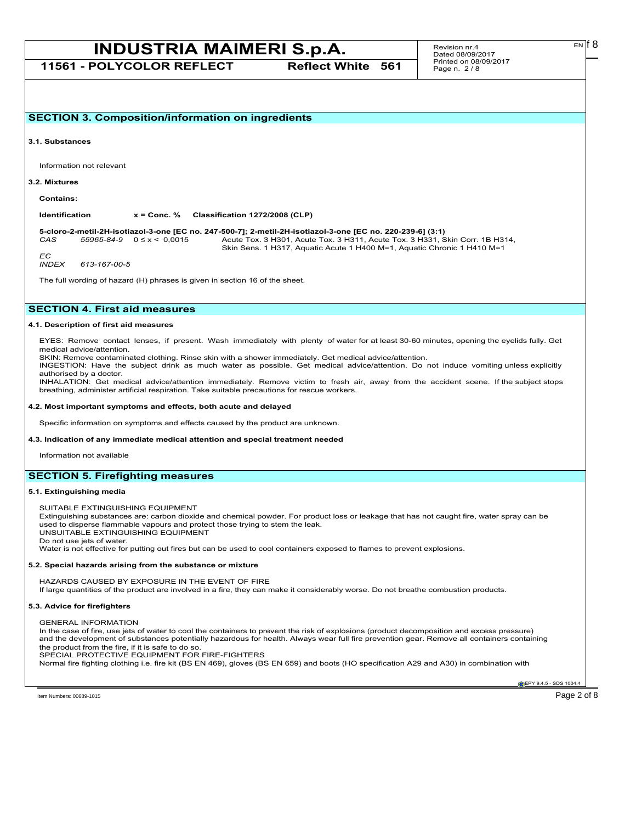**11561 - POLYCOLOR REFLECT Reflect White 561**

EN

**SECTION 3. Composition/information on ingredients**

**3.1. Substances**

Information not relevant

#### **3.2. Mixtures**

**Contains:**

**Identification x = Conc. % Classification 1272/2008 (CLP)**

**5-cloro-2-metil-2H-isotiazol-3-one [EC no. 247-500-7]; 2-metil-2H-isotiazol-3-one [EC no. 220-239-6] (3:1)** *CAS 55965-84-9* 0 ≤ x < 0,0015 Acute Tox. 3 H301, Acute Tox. 3 H311, Acute Tox. 3 H331, Skin Corr. 1B H314, Skin Sens. 1 H317, Aquatic Acute 1 H400 M=1, Aquatic Chronic 1 H410 M=1

*EC INDEX 613-167-00-5*

The full wording of hazard (H) phrases is given in section 16 of the sheet.

## **SECTION 4. First aid measures**

#### **4.1. Description of first aid measures**

EYES: Remove contact lenses, if present. Wash immediately with plenty of water for at least 30-60 minutes, opening the eyelids fully. Get medical advice/attention.

SKIN: Remove contaminated clothing. Rinse skin with a shower immediately. Get medical advice/attention.

INGESTION: Have the subject drink as much water as possible. Get medical advice/attention. Do not induce vomiting unless explicitly authorised by a doctor.

INHALATION: Get medical advice/attention immediately. Remove victim to fresh air, away from the accident scene. If the subject stops breathing, administer artificial respiration. Take suitable precautions for rescue workers.

#### **4.2. Most important symptoms and effects, both acute and delayed**

Specific information on symptoms and effects caused by the product are unknown.

**4.3. Indication of any immediate medical attention and special treatment needed**

Information not available

### **SECTION 5. Firefighting measures**

#### **5.1. Extinguishing media**

SUITABLE EXTINGUISHING EQUIPMENT

Extinguishing substances are: carbon dioxide and chemical powder. For product loss or leakage that has not caught fire, water spray can be used to disperse flammable vapours and protect those trying to stem the leak. UNSUITABLE EXTINGUISHING EQUIPMENT

Do not use jets of water.

Water is not effective for putting out fires but can be used to cool containers exposed to flames to prevent explosions.

#### **5.2. Special hazards arising from the substance or mixture**

HAZARDS CAUSED BY EXPOSURE IN THE EVENT OF FIRE If large quantities of the product are involved in a fire, they can make it considerably worse. Do not breathe combustion products.

#### **5.3. Advice for firefighters**

GENERAL INFORMATION

In the case of fire, use jets of water to cool the containers to prevent the risk of explosions (product decomposition and excess pressure) and the development of substances potentially hazardous for health. Always wear full fire prevention gear. Remove all containers containing the product from the fire, if it is safe to do so.

SPECIAL PROTECTIVE EQUIPMENT FOR FIRE-FIGHTERS

Normal fire fighting clothing i.e. fire kit (BS EN 469), gloves (BS EN 659) and boots (HO specification A29 and A30) in combination with

**EPY 9.4.5 - SDS 1004.**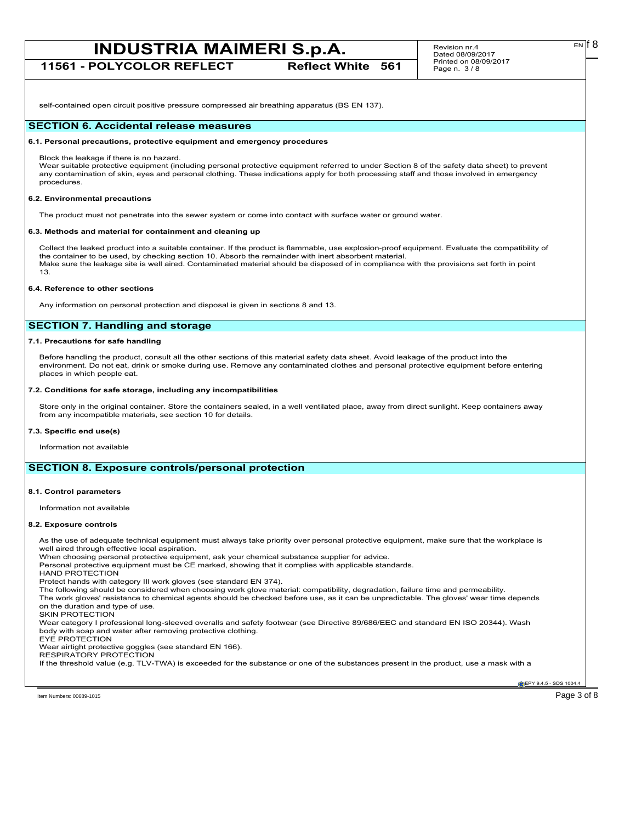**11561 - POLYCOLOR REFLECT Reflect White 561**

self-contained open circuit positive pressure compressed air breathing apparatus (BS EN 137).

## **SECTION 6. Accidental release measures**

## **6.1. Personal precautions, protective equipment and emergency procedures**

Block the leakage if there is no hazard.

Wear suitable protective equipment (including personal protective equipment referred to under Section 8 of the safety data sheet) to prevent any contamination of skin, eyes and personal clothing. These indications apply for both processing staff and those involved in emergency procedures.

## **6.2. Environmental precautions**

The product must not penetrate into the sewer system or come into contact with surface water or ground water.

## **6.3. Methods and material for containment and cleaning up**

Collect the leaked product into a suitable container. If the product is flammable, use explosion-proof equipment. Evaluate the compatibility of the container to be used, by checking section 10. Absorb the remainder with inert absorbent material. Make sure the leakage site is well aired. Contaminated material should be disposed of in compliance with the provisions set forth in point 13.

## **6.4. Reference to other sections**

Any information on personal protection and disposal is given in sections 8 and 13.

# **SECTION 7. Handling and storage**

## **7.1. Precautions for safe handling**

Before handling the product, consult all the other sections of this material safety data sheet. Avoid leakage of the product into the environment. Do not eat, drink or smoke during use. Remove any contaminated clothes and personal protective equipment before entering places in which people eat.

## **7.2. Conditions for safe storage, including any incompatibilities**

Store only in the original container. Store the containers sealed, in a well ventilated place, away from direct sunlight. Keep containers away from any incompatible materials, see section 10 for details.

#### **7.3. Specific end use(s)**

Information not available

## **SECTION 8. Exposure controls/personal protection**

#### **8.1. Control parameters**

Information not available

#### **8.2. Exposure controls**

As the use of adequate technical equipment must always take priority over personal protective equipment, make sure that the workplace is well aired through effective local aspiration. When choosing personal protective equipment, ask your chemical substance supplier for advice. Personal protective equipment must be CE marked, showing that it complies with applicable standards. HAND PROTECTION Protect hands with category III work gloves (see standard EN 374). The following should be considered when choosing work glove material: compatibility, degradation, failure time and permeability. The work gloves' resistance to chemical agents should be checked before use, as it can be unpredictable. The gloves' wear time depends on the duration and type of use. SKIN PROTECTION Wear category I professional long-sleeved overalls and safety footwear (see Directive 89/686/EEC and standard EN ISO 20344). Wash body with soap and water after removing protective clothing. EYE PROTECTION Wear airtight protective goggles (see standard EN 166). RESPIRATORY PROTECTION If the threshold value (e.g. TLV-TWA) is exceeded for the substance or one of the substances present in the product, use a mask with a

Item Numbers: 00689-1015 Page 3 of 8

**EPY 9.4.5 - SDS 1004.**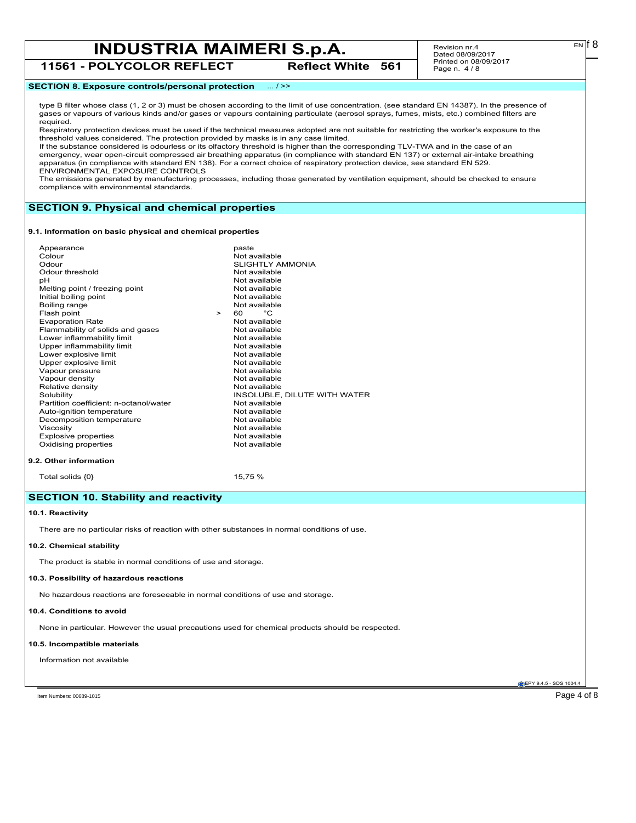**11561 - POLYCOLOR REFLECT Reflect White 561**

Revision nr.4 Dated 08/09/2017 Printed on 08/09/2017 Page n. 4 / 8

## **SECTION 8. Exposure controls/personal protection** ... / >>

type B filter whose class (1, 2 or 3) must be chosen according to the limit of use concentration. (see standard EN 14387). In the presence of gases or vapours of various kinds and/or gases or vapours containing particulate (aerosol sprays, fumes, mists, etc.) combined filters are required.

Respiratory protection devices must be used if the technical measures adopted are not suitable for restricting the worker's exposure to the threshold values considered. The protection provided by masks is in any case limited.

If the substance considered is odourless or its olfactory threshold is higher than the corresponding TLV-TWA and in the case of an emergency, wear open-circuit compressed air breathing apparatus (in compliance with standard EN 137) or external air-intake breathing apparatus (in compliance with standard EN 138). For a correct choice of respiratory protection device, see standard EN 529. ENVIRONMENTAL EXPOSURE CONTROLS

The emissions generated by manufacturing processes, including those generated by ventilation equipment, should be checked to ensure compliance with environmental standards.

## **SECTION 9. Physical and chemical properties**

#### **9.1. Information on basic physical and chemical properties**

|        | paste                        |
|--------|------------------------------|
|        | Not available                |
|        | <b>SLIGHTLY AMMONIA</b>      |
|        | Not available                |
|        | Not available                |
|        | Not available                |
|        | Not available                |
|        | Not available                |
| $\geq$ | °C<br>60                     |
|        | Not available                |
|        | Not available                |
|        | Not available                |
|        | Not available                |
|        | Not available                |
|        | Not available                |
|        | Not available                |
|        | Not available                |
|        | Not available                |
|        | INSOLUBLE, DILUTE WITH WATER |
|        | Not available                |
|        | Not available                |
|        | Not available                |
|        | Not available                |
|        | Not available                |
|        | Not available                |
|        |                              |

#### **9.2. Other information**

Total solids  $\{0\}$  15,75 %

# **SECTION 10. Stability and reactivity**

## **10.1. Reactivity**

There are no particular risks of reaction with other substances in normal conditions of use.

## **10.2. Chemical stability**

The product is stable in normal conditions of use and storage.

### **10.3. Possibility of hazardous reactions**

No hazardous reactions are foreseeable in normal conditions of use and storage.

#### **10.4. Conditions to avoid**

None in particular. However the usual precautions used for chemical products should be respected.

#### **10.5. Incompatible materials**

Information not available

**EPY 9.4.5 - SDS 1004** 

Item Numbers: 00689-1015 Page 4 of 8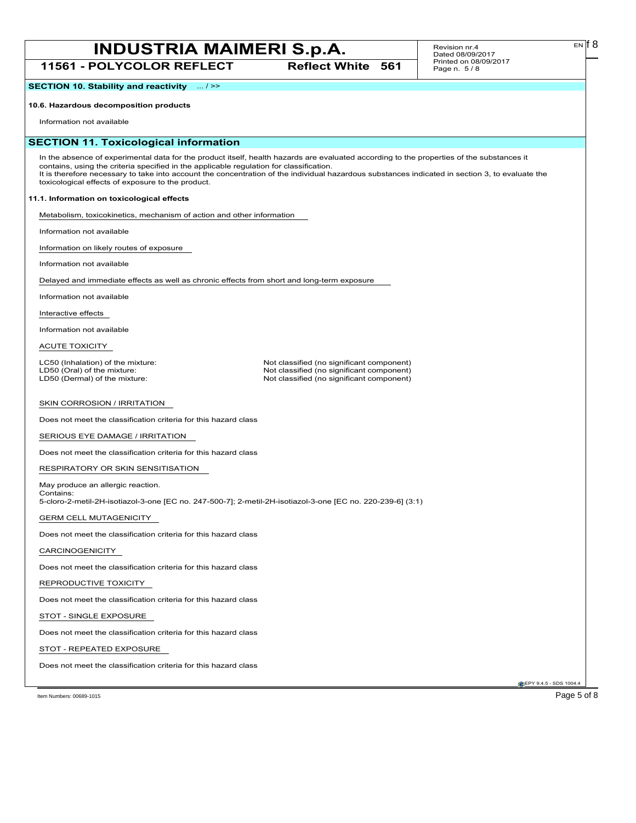**11561 - POLYCOLOR REFLECT Reflect White 561**

#### Revision nr.4 Dated 08/09/2017 Printed on 08/09/2017 Page n. 5 / 8

**SECTION 10. Stability and reactivity** ... / >>

# **10.6. Hazardous decomposition products**

Information not available

# **SECTION 11. Toxicological information**

In the absence of experimental data for the product itself, health hazards are evaluated according to the properties of the substances it contains, using the criteria specified in the applicable regulation for classification. It is therefore necessary to take into account the concentration of the individual hazardous substances indicated in section 3, to evaluate the toxicological effects of exposure to the product.

## **11.1. Information on toxicological effects**

Metabolism, toxicokinetics, mechanism of action and other information

Information not available

Information on likely routes of exposure

Information not available

Delayed and immediate effects as well as chronic effects from short and long-term exposure

Information not available

Interactive effects

Information not available

ACUTE TOXICITY

LC50 (Inhalation) of the mixture: Not classified (no significant component)<br>
LD50 (Oral) of the mixture: Not classified (no significant component) LD50 (Oral) of the mixture: Not classified (no significant component)<br>
LD50 (Dermal) of the mixture: Not classified (no significant component) Not classified (no significant component)

#### SKIN CORROSION / IRRITATION

Does not meet the classification criteria for this hazard class

SERIOUS EYE DAMAGE / IRRITATION

Does not meet the classification criteria for this hazard class

RESPIRATORY OR SKIN SENSITISATION

May produce an allergic reaction. Contains:

5-cloro-2-metil-2H-isotiazol-3-one [EC no. 247-500-7]; 2-metil-2H-isotiazol-3-one [EC no. 220-239-6] (3:1)

GERM CELL MUTAGENICITY

Does not meet the classification criteria for this hazard class

### CARCINOGENICITY

Does not meet the classification criteria for this hazard class

#### REPRODUCTIVE TOXICITY

Does not meet the classification criteria for this hazard class

### STOT - SINGLE EXPOSURE

Does not meet the classification criteria for this hazard class

## STOT - REPEATED EXPOSURE

Does not meet the classification criteria for this hazard class

**EPY 9.4.5 - SDS 1004** 

Item Numbers: 00689-1015 Page 5 of 8

EN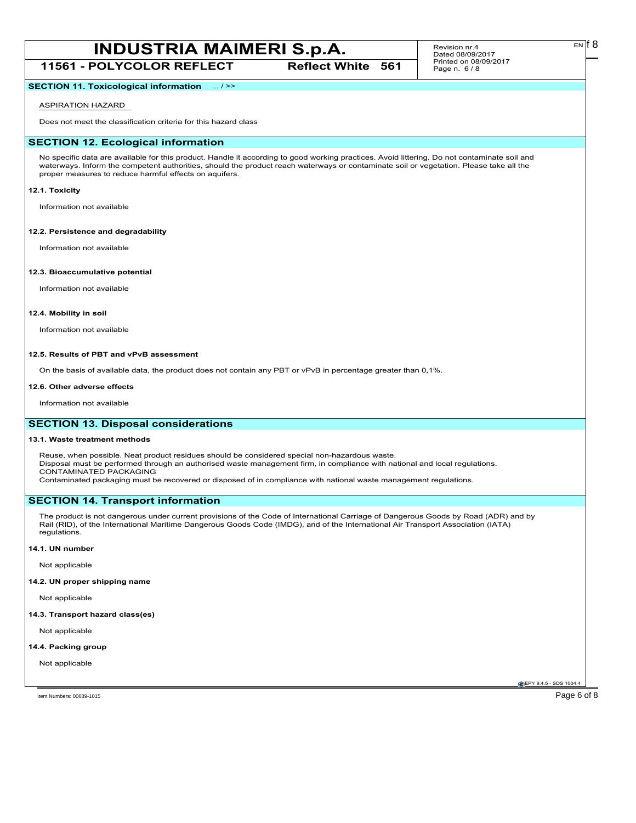**11561 - POLYCOLOR REFLECT Reflect White 561**

#### Revision nr.4 Dated 08/09/2017 Printed on 08/09/2017 Page n. 6 / 8

## **SECTION 11. Toxicological information** ... / >>

## ASPIRATION HAZARD

Does not meet the classification criteria for this hazard class

## **SECTION 12. Ecological information**

No specific data are available for this product. Handle it according to good working practices. Avoid littering. Do not contaminate soil and waterways. Inform the competent authorities, should the product reach waterways or contaminate soil or vegetation. Please take all the proper measures to reduce harmful effects on aquifers.

#### **12.1. Toxicity**

Information not available

#### **12.2. Persistence and degradability**

Information not available

#### **12.3. Bioaccumulative potential**

Information not available

#### **12.4. Mobility in soil**

Information not available

#### **12.5. Results of PBT and vPvB assessment**

On the basis of available data, the product does not contain any PBT or vPvB in percentage greater than 0,1%.

#### **12.6. Other adverse effects**

Information not available

## **SECTION 13. Disposal considerations**

## **13.1. Waste treatment methods**

Reuse, when possible. Neat product residues should be considered special non-hazardous waste. Disposal must be performed through an authorised waste management firm, in compliance with national and local regulations. CONTAMINATED PACKAGING

Contaminated packaging must be recovered or disposed of in compliance with national waste management regulations.

## **SECTION 14. Transport information**

The product is not dangerous under current provisions of the Code of International Carriage of Dangerous Goods by Road (ADR) and by Rail (RID), of the International Maritime Dangerous Goods Code (IMDG), and of the International Air Transport Association (IATA) regulations.

## **14.1. UN number**

Not applicable

## **14.2. UN proper shipping name**

Not applicable

### **14.3. Transport hazard class(es)**

Not applicable

#### **14.4. Packing group**

Not applicable

**EPY 9.4.5 - SDS 1004** 

Item Numbers: 00689-1015 Page 6 of 8

EN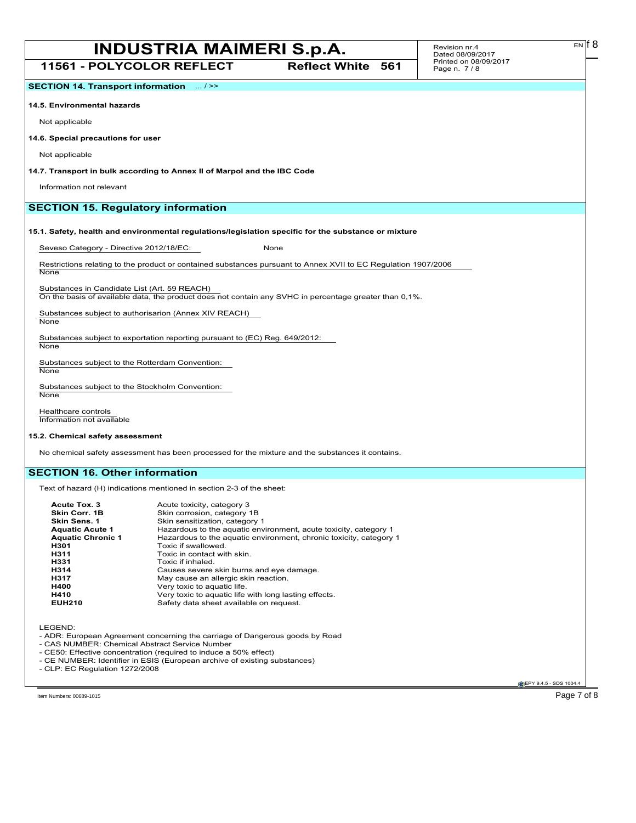**11561 - POLYCOLOR REFLECT Reflect White 561**

**SECTION 14. Transport information** ... / >>

**14.5. Environmental hazards**

Not applicable

**14.6. Special precautions for user**

Not applicable

**14.7. Transport in bulk according to Annex II of Marpol and the IBC Code**

Information not relevant

## **SECTION 15. Regulatory information**

## **15.1. Safety, health and environmental regulations/legislation specific for the substance or mixture**

Seveso Category - Directive 2012/18/EC: None

Restrictions relating to the product or contained substances pursuant to Annex XVII to EC Regulation 1907/2006 **None** 

Substances in Candidate List (Art. 59 REACH)

On the basis of available data, the product does not contain any SVHC in percentage greater than 0,1%.

Substances subject to authorisarion (Annex XIV REACH) **None** 

Substances subject to exportation reporting pursuant to (EC) Reg. 649/2012: **None** 

Substances subject to the Rotterdam Convention:

**None** 

Substances subject to the Stockholm Convention: None

Healthcare controls Information not available

### **15.2. Chemical safety assessment**

No chemical safety assessment has been processed for the mixture and the substances it contains.

## **SECTION 16. Other information**

Text of hazard (H) indications mentioned in section 2-3 of the sheet:

| Acute Tox. 3             | Acute toxicity, category 3                                         |
|--------------------------|--------------------------------------------------------------------|
| Skin Corr. 1B            | Skin corrosion, category 1B                                        |
| Skin Sens. 1             | Skin sensitization, category 1                                     |
| <b>Aquatic Acute 1</b>   | Hazardous to the aquatic environment, acute toxicity, category 1   |
| <b>Aquatic Chronic 1</b> | Hazardous to the aquatic environment, chronic toxicity, category 1 |
| H301                     | Toxic if swallowed.                                                |
| H311                     | Toxic in contact with skin.                                        |
| H331                     | Toxic if inhaled.                                                  |
| H314                     | Causes severe skin burns and eye damage.                           |
|                          |                                                                    |
| H317                     | May cause an allergic skin reaction.                               |
| H400                     | Very toxic to aquatic life.                                        |
| H410                     | Very toxic to aquatic life with long lasting effects.              |
| <b>EUH210</b>            | Safety data sheet available on request.                            |

LEGEND:

- ADR: European Agreement concerning the carriage of Dangerous goods by Road

- CAS NUMBER: Chemical Abstract Service Number

- CE50: Effective concentration (required to induce a 50% effect)
- CE NUMBER: Identifier in ESIS (European archive of existing substances) - CLP: EC Regulation 1272/2008

**EPY 9.4.5 - SDS 1004** 

Item Numbers: 00689-1015  $\sim$  Page 7 of 8  $\sim$ 

 $E<sub>N</sub>$  if 8